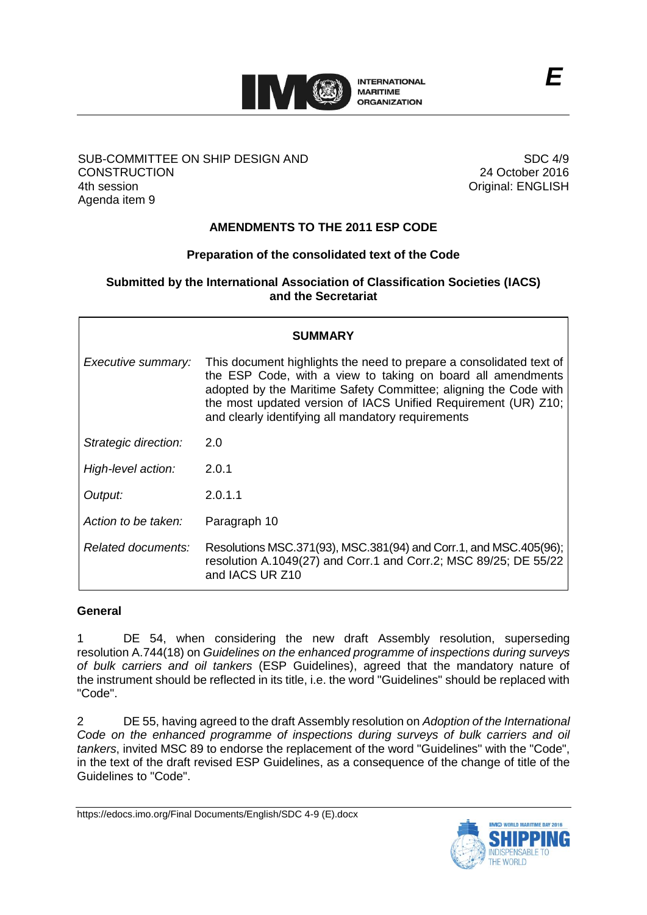

### SUB-COMMITTEE ON SHIP DESIGN AND **CONSTRUCTION** 4th session Agenda item 9

SDC 4/9 24 October 2016 Original: ENGLISH

# **AMENDMENTS TO THE 2011 ESP CODE**

## **Preparation of the consolidated text of the Code**

#### **Submitted by the International Association of Classification Societies (IACS) and the Secretariat**

| SUMMARY              |                                                                                                                                                                                                                                                                                                                                |
|----------------------|--------------------------------------------------------------------------------------------------------------------------------------------------------------------------------------------------------------------------------------------------------------------------------------------------------------------------------|
| Executive summary:   | This document highlights the need to prepare a consolidated text of<br>the ESP Code, with a view to taking on board all amendments<br>adopted by the Maritime Safety Committee; aligning the Code with<br>the most updated version of IACS Unified Requirement (UR) Z10;<br>and clearly identifying all mandatory requirements |
| Strategic direction: | 2.0                                                                                                                                                                                                                                                                                                                            |
| High-level action:   | 2.0.1                                                                                                                                                                                                                                                                                                                          |
| Output:              | 2.0.1.1                                                                                                                                                                                                                                                                                                                        |
| Action to be taken:  | Paragraph 10                                                                                                                                                                                                                                                                                                                   |
| Related documents:   | Resolutions MSC.371(93), MSC.381(94) and Corr.1, and MSC.405(96);<br>resolution A.1049(27) and Corr.1 and Corr.2; MSC 89/25; DE 55/22<br>and IACS UR Z10                                                                                                                                                                       |

### **General**

1 DE 54, when considering the new draft Assembly resolution, superseding resolution A.744(18) on *Guidelines on the enhanced programme of inspections during surveys of bulk carriers and oil tankers* (ESP Guidelines), agreed that the mandatory nature of the instrument should be reflected in its title, i.e. the word "Guidelines" should be replaced with "Code".

2 DE 55, having agreed to the draft Assembly resolution on *Adoption of the International Code on the enhanced programme of inspections during surveys of bulk carriers and oil tankers*, invited MSC 89 to endorse the replacement of the word "Guidelines" with the "Code", in the text of the draft revised ESP Guidelines, as a consequence of the change of title of the Guidelines to "Code".

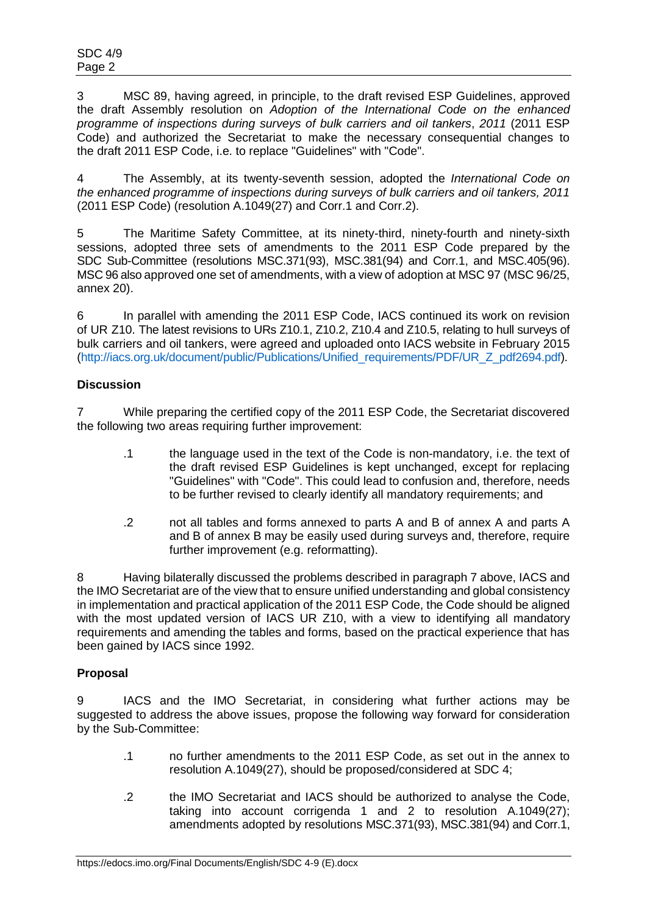3 MSC 89, having agreed, in principle, to the draft revised ESP Guidelines, approved the draft Assembly resolution on *Adoption of the International Code on the enhanced programme of inspections during surveys of bulk carriers and oil tankers*, *2011* (2011 ESP Code) and authorized the Secretariat to make the necessary consequential changes to the draft 2011 ESP Code, i.e. to replace "Guidelines" with "Code".

4 The Assembly, at its twenty-seventh session, adopted the *International Code on the enhanced programme of inspections during surveys of bulk carriers and oil tankers, 2011* (2011 ESP Code) (resolution A.1049(27) and Corr.1 and Corr.2).

5 The Maritime Safety Committee, at its ninety-third, ninety-fourth and ninety-sixth sessions, adopted three sets of amendments to the 2011 ESP Code prepared by the SDC Sub-Committee (resolutions MSC.371(93), MSC.381(94) and Corr.1, and MSC.405(96). MSC 96 also approved one set of amendments, with a view of adoption at MSC 97 (MSC 96/25, annex 20).

6 In parallel with amending the 2011 ESP Code, IACS continued its work on revision of UR Z10. The latest revisions to URs Z10.1, Z10.2, Z10.4 and Z10.5, relating to hull surveys of bulk carriers and oil tankers, were agreed and uploaded onto IACS website in February 2015 [\(http://iacs.org.uk/document/public/Publications/Unified\\_requirements/PDF/UR\\_Z\\_pdf2694.pdf\)](http://iacs.org.uk/document/public/Publications/Unified_requirements/PDF/UR_Z_pdf2694.pdf).

## **Discussion**

7 While preparing the certified copy of the 2011 ESP Code, the Secretariat discovered the following two areas requiring further improvement:

- .1 the language used in the text of the Code is non-mandatory, i.e. the text of the draft revised ESP Guidelines is kept unchanged, except for replacing "Guidelines" with "Code". This could lead to confusion and, therefore, needs to be further revised to clearly identify all mandatory requirements; and
- .2 not all tables and forms annexed to parts A and B of annex A and parts A and B of annex B may be easily used during surveys and, therefore, require further improvement (e.g. reformatting).

Having bilaterally discussed the problems described in paragraph 7 above, IACS and the IMO Secretariat are of the view that to ensure unified understanding and global consistency in implementation and practical application of the 2011 ESP Code, the Code should be aligned with the most updated version of IACS UR Z10, with a view to identifying all mandatory requirements and amending the tables and forms, based on the practical experience that has been gained by IACS since 1992.

### **Proposal**

9 IACS and the IMO Secretariat, in considering what further actions may be suggested to address the above issues, propose the following way forward for consideration by the Sub-Committee:

- .1 no further amendments to the 2011 ESP Code, as set out in the annex to resolution A.1049(27), should be proposed/considered at SDC 4;
- .2 the IMO Secretariat and IACS should be authorized to analyse the Code, taking into account corrigenda 1 and 2 to resolution A.1049(27); amendments adopted by resolutions MSC.371(93), MSC.381(94) and Corr.1,